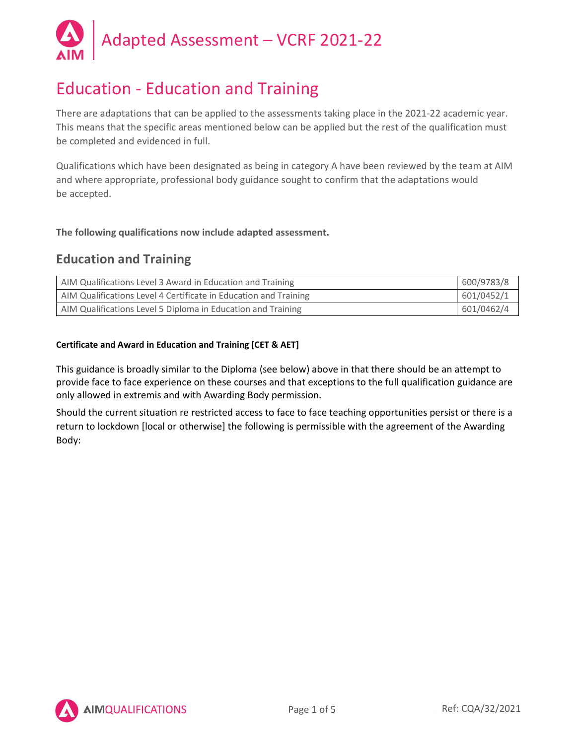

# Education - Education and Training

There are adaptations that can be applied to the assessments taking place in the 2021-22 academic year. This means that the specific areas mentioned below can be applied but the rest of the qualification must be completed and evidenced in full.

Qualifications which have been designated as being in category A have been reviewed by the team at AIM and where appropriate, professional body guidance sought to confirm that the adaptations would be accepted.

The following qualifications now include adapted assessment.

## Education and Training

| AIM Qualifications Level 3 Award in Education and Training       | 600/9783/8 |
|------------------------------------------------------------------|------------|
| AIM Qualifications Level 4 Certificate in Education and Training | 601/0452/1 |
| AIM Qualifications Level 5 Diploma in Education and Training     | 601/0462/4 |

## Certificate and Award in Education and Training [CET & AET]

This guidance is broadly similar to the Diploma (see below) above in that there should be an attempt to provide face to face experience on these courses and that exceptions to the full qualification guidance are only allowed in extremis and with Awarding Body permission.

Should the current situation re restricted access to face to face teaching opportunities persist or there is a return to lockdown [local or otherwise] the following is permissible with the agreement of the Awarding Body:

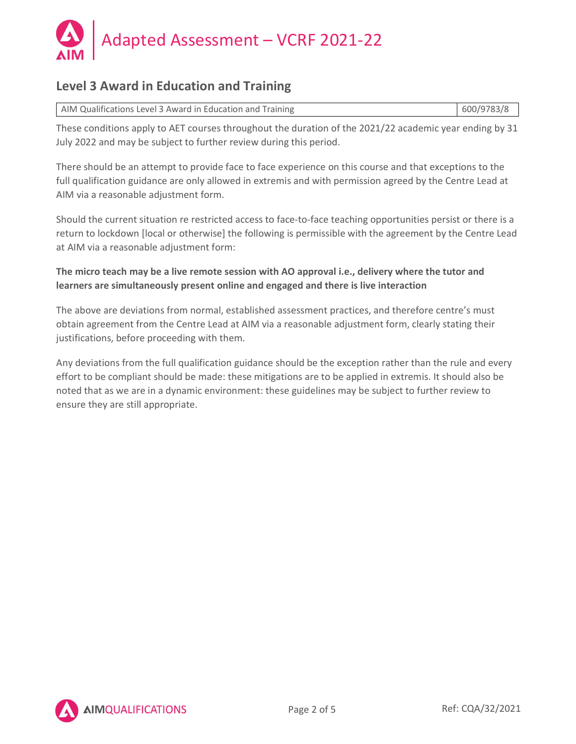

# Level 3 Award in Education and Training

| AIM Qualifications Level 3 Award in Education and Training | 600/9783/8 |  |
|------------------------------------------------------------|------------|--|
|                                                            |            |  |

These conditions apply to AET courses throughout the duration of the 2021/22 academic year ending by 31 July 2022 and may be subject to further review during this period.

There should be an attempt to provide face to face experience on this course and that exceptions to the full qualification guidance are only allowed in extremis and with permission agreed by the Centre Lead at AIM via a reasonable adjustment form.

Should the current situation re restricted access to face-to-face teaching opportunities persist or there is a return to lockdown [local or otherwise] the following is permissible with the agreement by the Centre Lead at AIM via a reasonable adjustment form:

## The micro teach may be a live remote session with AO approval i.e., delivery where the tutor and learners are simultaneously present online and engaged and there is live interaction

The above are deviations from normal, established assessment practices, and therefore centre's must obtain agreement from the Centre Lead at AIM via a reasonable adjustment form, clearly stating their justifications, before proceeding with them.

Any deviations from the full qualification guidance should be the exception rather than the rule and every effort to be compliant should be made: these mitigations are to be applied in extremis. It should also be noted that as we are in a dynamic environment: these guidelines may be subject to further review to ensure they are still appropriate.

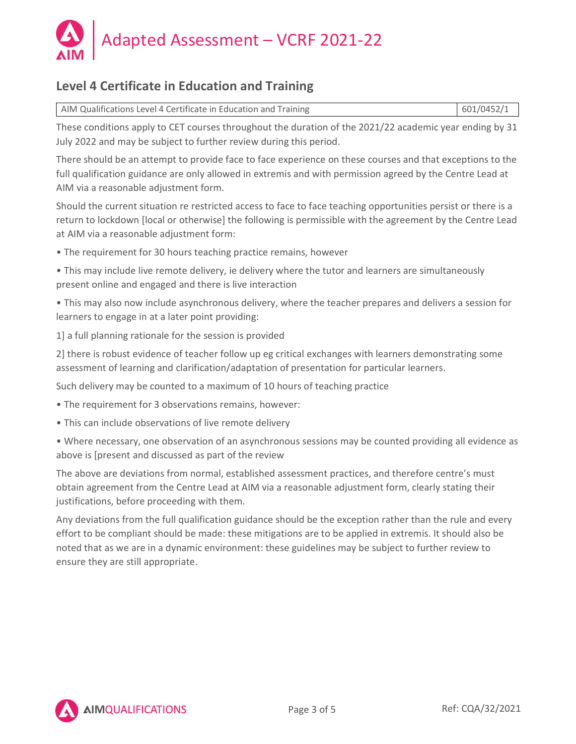

# Level 4 Certificate in Education and Training

| 601/0452/1<br>AIM Qualifications Level 4 Certificate in Education and Training |  |
|--------------------------------------------------------------------------------|--|
|--------------------------------------------------------------------------------|--|

These conditions apply to CET courses throughout the duration of the 2021/22 academic year ending by 31 July 2022 and may be subject to further review during this period.

There should be an attempt to provide face to face experience on these courses and that exceptions to the full qualification guidance are only allowed in extremis and with permission agreed by the Centre Lead at AIM via a reasonable adjustment form.

Should the current situation re restricted access to face to face teaching opportunities persist or there is a return to lockdown [local or otherwise] the following is permissible with the agreement by the Centre Lead at AIM via a reasonable adjustment form:

• The requirement for 30 hours teaching practice remains, however

• This may include live remote delivery, ie delivery where the tutor and learners are simultaneously present online and engaged and there is live interaction

• This may also now include asynchronous delivery, where the teacher prepares and delivers a session for learners to engage in at a later point providing:

1] a full planning rationale for the session is provided

2] there is robust evidence of teacher follow up eg critical exchanges with learners demonstrating some assessment of learning and clarification/adaptation of presentation for particular learners.

Such delivery may be counted to a maximum of 10 hours of teaching practice

- The requirement for 3 observations remains, however:
- This can include observations of live remote delivery
- Where necessary, one observation of an asynchronous sessions may be counted providing all evidence as above is [present and discussed as part of the review

The above are deviations from normal, established assessment practices, and therefore centre's must obtain agreement from the Centre Lead at AIM via a reasonable adjustment form, clearly stating their justifications, before proceeding with them.

Any deviations from the full qualification guidance should be the exception rather than the rule and every effort to be compliant should be made: these mitigations are to be applied in extremis. It should also be noted that as we are in a dynamic environment: these guidelines may be subject to further review to ensure they are still appropriate.

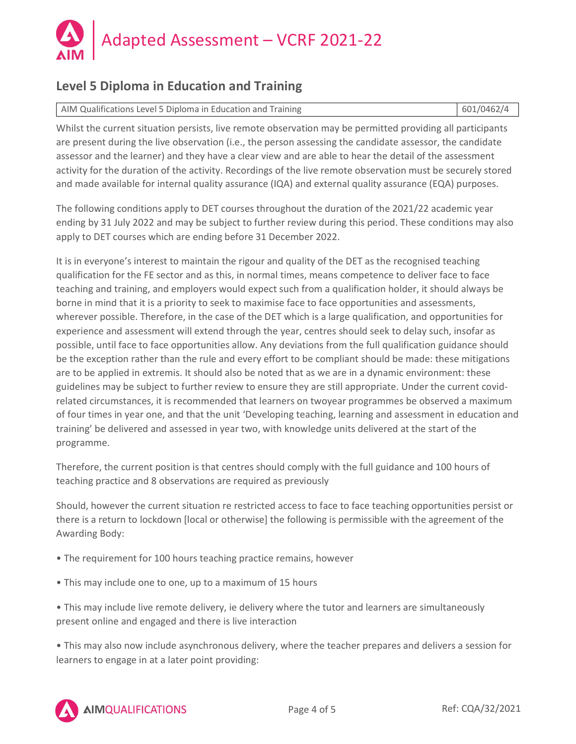

# Level 5 Diploma in Education and Training

AIM Qualifications Level 5 Diploma in Education and Training 601/0462/4

Whilst the current situation persists, live remote observation may be permitted providing all participants are present during the live observation (i.e., the person assessing the candidate assessor, the candidate assessor and the learner) and they have a clear view and are able to hear the detail of the assessment activity for the duration of the activity. Recordings of the live remote observation must be securely stored and made available for internal quality assurance (IQA) and external quality assurance (EQA) purposes.

The following conditions apply to DET courses throughout the duration of the 2021/22 academic year ending by 31 July 2022 and may be subject to further review during this period. These conditions may also apply to DET courses which are ending before 31 December 2022.

It is in everyone's interest to maintain the rigour and quality of the DET as the recognised teaching qualification for the FE sector and as this, in normal times, means competence to deliver face to face teaching and training, and employers would expect such from a qualification holder, it should always be borne in mind that it is a priority to seek to maximise face to face opportunities and assessments, wherever possible. Therefore, in the case of the DET which is a large qualification, and opportunities for experience and assessment will extend through the year, centres should seek to delay such, insofar as possible, until face to face opportunities allow. Any deviations from the full qualification guidance should be the exception rather than the rule and every effort to be compliant should be made: these mitigations are to be applied in extremis. It should also be noted that as we are in a dynamic environment: these guidelines may be subject to further review to ensure they are still appropriate. Under the current covidrelated circumstances, it is recommended that learners on twoyear programmes be observed a maximum of four times in year one, and that the unit 'Developing teaching, learning and assessment in education and training' be delivered and assessed in year two, with knowledge units delivered at the start of the programme.

Therefore, the current position is that centres should comply with the full guidance and 100 hours of teaching practice and 8 observations are required as previously

Should, however the current situation re restricted access to face to face teaching opportunities persist or there is a return to lockdown [local or otherwise] the following is permissible with the agreement of the Awarding Body:

- The requirement for 100 hours teaching practice remains, however
- This may include one to one, up to a maximum of 15 hours

• This may include live remote delivery, ie delivery where the tutor and learners are simultaneously present online and engaged and there is live interaction

• This may also now include asynchronous delivery, where the teacher prepares and delivers a session for learners to engage in at a later point providing:

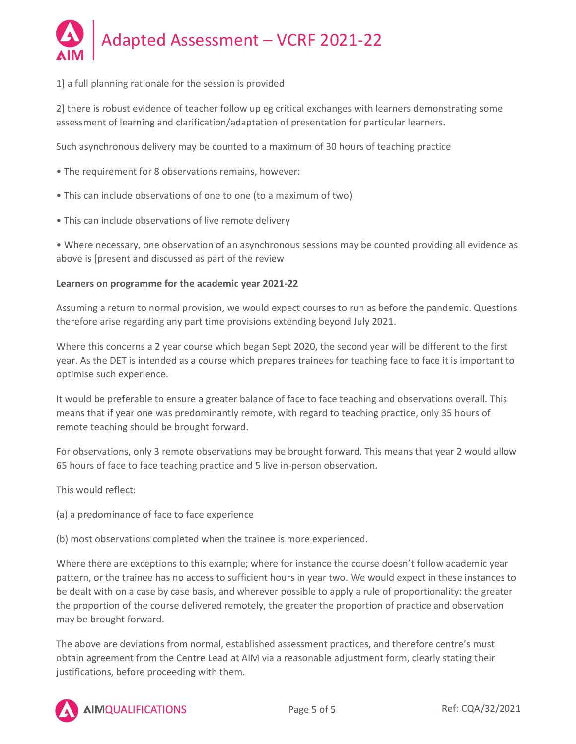

## 1] a full planning rationale for the session is provided

2] there is robust evidence of teacher follow up eg critical exchanges with learners demonstrating some assessment of learning and clarification/adaptation of presentation for particular learners.

Such asynchronous delivery may be counted to a maximum of 30 hours of teaching practice

- The requirement for 8 observations remains, however:
- This can include observations of one to one (to a maximum of two)
- This can include observations of live remote delivery

• Where necessary, one observation of an asynchronous sessions may be counted providing all evidence as above is [present and discussed as part of the review

## Learners on programme for the academic year 2021-22

Assuming a return to normal provision, we would expect courses to run as before the pandemic. Questions therefore arise regarding any part time provisions extending beyond July 2021.

Where this concerns a 2 year course which began Sept 2020, the second year will be different to the first year. As the DET is intended as a course which prepares trainees for teaching face to face it is important to optimise such experience.

It would be preferable to ensure a greater balance of face to face teaching and observations overall. This means that if year one was predominantly remote, with regard to teaching practice, only 35 hours of remote teaching should be brought forward.

For observations, only 3 remote observations may be brought forward. This means that year 2 would allow 65 hours of face to face teaching practice and 5 live in-person observation.

This would reflect:

(a) a predominance of face to face experience

(b) most observations completed when the trainee is more experienced.

Where there are exceptions to this example; where for instance the course doesn't follow academic year pattern, or the trainee has no access to sufficient hours in year two. We would expect in these instances to be dealt with on a case by case basis, and wherever possible to apply a rule of proportionality: the greater the proportion of the course delivered remotely, the greater the proportion of practice and observation may be brought forward.

The above are deviations from normal, established assessment practices, and therefore centre's must obtain agreement from the Centre Lead at AIM via a reasonable adjustment form, clearly stating their justifications, before proceeding with them.



**AIMQUALIFICATIONS**